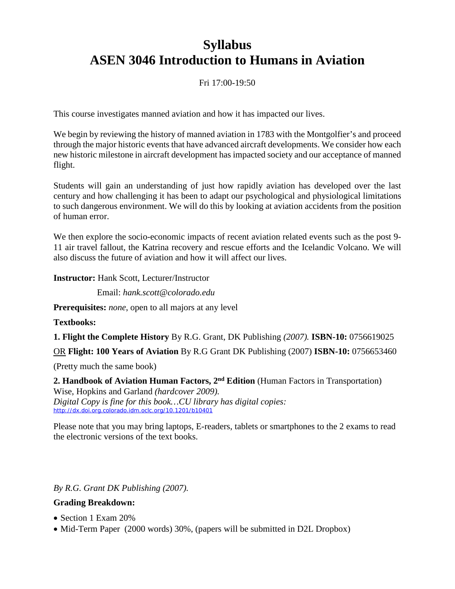# **Syllabus ASEN 3046 Introduction to Humans in Aviation**

# Fri 17:00-19:50

This course investigates manned aviation and how it has impacted our lives.

We begin by reviewing the history of manned aviation in 1783 with the Montgolfier's and proceed through the major historic events that have advanced aircraft developments. We consider how each new historic milestone in aircraft development has impacted society and our acceptance of manned flight.

Students will gain an understanding of just how rapidly aviation has developed over the last century and how challenging it has been to adapt our psychological and physiological limitations to such dangerous environment. We will do this by looking at aviation accidents from the position of human error.

We then explore the socio-economic impacts of recent aviation related events such as the post 9- 11 air travel fallout, the Katrina recovery and rescue efforts and the Icelandic Volcano. We will also discuss the future of aviation and how it will affect our lives.

**Instructor:** Hank Scott, Lecturer/Instructor

Email: *hank.scott@colorado.edu*

**Prerequisites:** *none*, open to all majors at any level

**Textbooks:**

**1. Flight the Complete History** By R.G. Grant, DK Publishing *(2007).* **ISBN-10:** 0756619025

OR **Flight: 100 Years of Aviation** By R.G Grant DK Publishing (2007) **ISBN-10:** 0756653460

(Pretty much the same book)

**2. Handbook of Aviation Human Factors, 2nd Edition** (Human Factors in Transportation) Wise, Hopkins and Garland *(hardcover 2009). Digital Copy is fine for this book…CU library has digital copies:* <http://dx.doi.org.colorado.idm.oclc.org/10.1201/b10401>

Please note that you may bring laptops, E-readers, tablets or smartphones to the 2 exams to read the electronic versions of the text books.

*By R.G. Grant DK Publishing (2007).*

#### **Grading Breakdown:**

- Section 1 Exam 20%
- Mid-Term Paper (2000 words) 30%, (papers will be submitted in D2L Dropbox)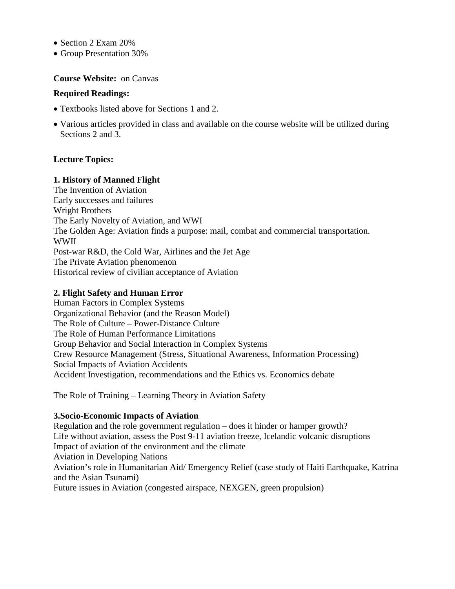- Section 2 Exam 20%
- Group Presentation 30%

#### **Course Website:** on Canvas

#### **Required Readings:**

- Textbooks listed above for Sections 1 and 2.
- Various articles provided in class and available on the course website will be utilized during Sections 2 and 3.

#### **Lecture Topics:**

#### **1. History of Manned Flight**

The Invention of Aviation Early successes and failures Wright Brothers The Early Novelty of Aviation, and WWI The Golden Age: Aviation finds a purpose: mail, combat and commercial transportation. WWII Post-war R&D, the Cold War, Airlines and the Jet Age The Private Aviation phenomenon Historical review of civilian acceptance of Aviation

### **2. Flight Safety and Human Error**

Human Factors in Complex Systems Organizational Behavior (and the Reason Model) The Role of Culture – Power-Distance Culture The Role of Human Performance Limitations Group Behavior and Social Interaction in Complex Systems Crew Resource Management (Stress, Situational Awareness, Information Processing) Social Impacts of Aviation Accidents Accident Investigation, recommendations and the Ethics vs. Economics debate

The Role of Training – Learning Theory in Aviation Safety

#### **3.Socio-Economic Impacts of Aviation**

Regulation and the role government regulation – does it hinder or hamper growth? Life without aviation, assess the Post 9-11 aviation freeze, Icelandic volcanic disruptions Impact of aviation of the environment and the climate Aviation in Developing Nations Aviation's role in Humanitarian Aid/ Emergency Relief (case study of Haiti Earthquake, Katrina and the Asian Tsunami) Future issues in Aviation (congested airspace, NEXGEN, green propulsion)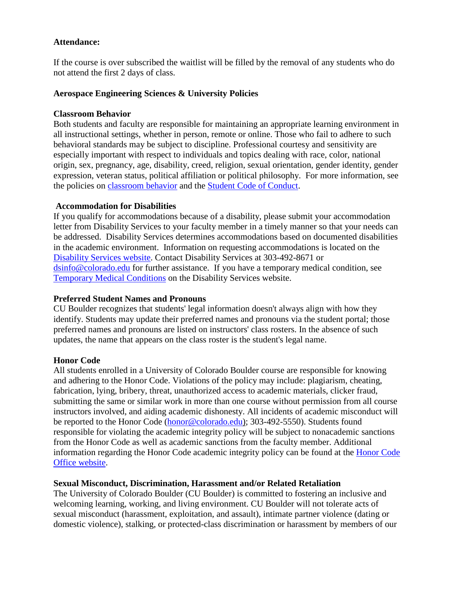### **Attendance:**

If the course is over subscribed the waitlist will be filled by the removal of any students who do not attend the first 2 days of class.

#### **Aerospace Engineering Sciences & University Policies**

### **Classroom Behavior**

Both students and faculty are responsible for maintaining an appropriate learning environment in all instructional settings, whether in person, remote or online. Those who fail to adhere to such behavioral standards may be subject to discipline. Professional courtesy and sensitivity are especially important with respect to individuals and topics dealing with race, color, national origin, sex, pregnancy, age, disability, creed, religion, sexual orientation, gender identity, gender expression, veteran status, political affiliation or political philosophy. For more information, see the policies on [classroom](http://www.colorado.edu/policies/student-classroom-and-course-related-behavior) behavior and the [Student Code of Conduct.](https://www.colorado.edu/sccr/sites/default/files/attached-files/2019-2020_student_code_of_conduct_0.pdf)

## **Accommodation for Disabilities**

If you qualify for accommodations because of a disability, please submit your accommodation letter from Disability Services to your faculty member in a timely manner so that your needs can be addressed. Disability Services determines accommodations based on documented disabilities in the academic environment. Information on requesting accommodations is located on the [Disability Services website.](https://www.colorado.edu/disabilityservices/) Contact Disability Services at 303-492-8671 or [dsinfo@colorado.edu](mailto:dsinfo@colorado.edu) for further assistance. If you have a temporary medical condition, see [Temporary Medical Conditions](http://www.colorado.edu/disabilityservices/students/temporary-medical-conditions) on the Disability Services website.

# **Preferred Student Names and Pronouns**

CU Boulder recognizes that students' legal information doesn't always align with how they identify. Students may update their preferred names and pronouns via the student portal; those preferred names and pronouns are listed on instructors' class rosters. In the absence of such updates, the name that appears on the class roster is the student's legal name.

#### **Honor Code**

All students enrolled in a University of Colorado Boulder course are responsible for knowing and adhering to the Honor Code. Violations of the policy may include: plagiarism, cheating, fabrication, lying, bribery, threat, unauthorized access to academic materials, clicker fraud, submitting the same or similar work in more than one course without permission from all course instructors involved, and aiding academic dishonesty. All incidents of academic misconduct will be reported to the Honor Code [\(honor@colorado.edu\)](mailto:honor@colorado.edu); 303-492-5550). Students found responsible for violating the academic integrity policy will be subject to nonacademic sanctions from the Honor Code as well as academic sanctions from the faculty member. Additional information regarding the Honor Code academic integrity policy can be found at the [Honor Code](https://www.colorado.edu/osccr/honor-code)  [Office website.](https://www.colorado.edu/osccr/honor-code)

#### **Sexual Misconduct, Discrimination, Harassment and/or Related Retaliation**

The University of Colorado Boulder (CU Boulder) is committed to fostering an inclusive and welcoming learning, working, and living environment. CU Boulder will not tolerate acts of sexual misconduct (harassment, exploitation, and assault), intimate partner violence (dating or domestic violence), stalking, or protected-class discrimination or harassment by members of our